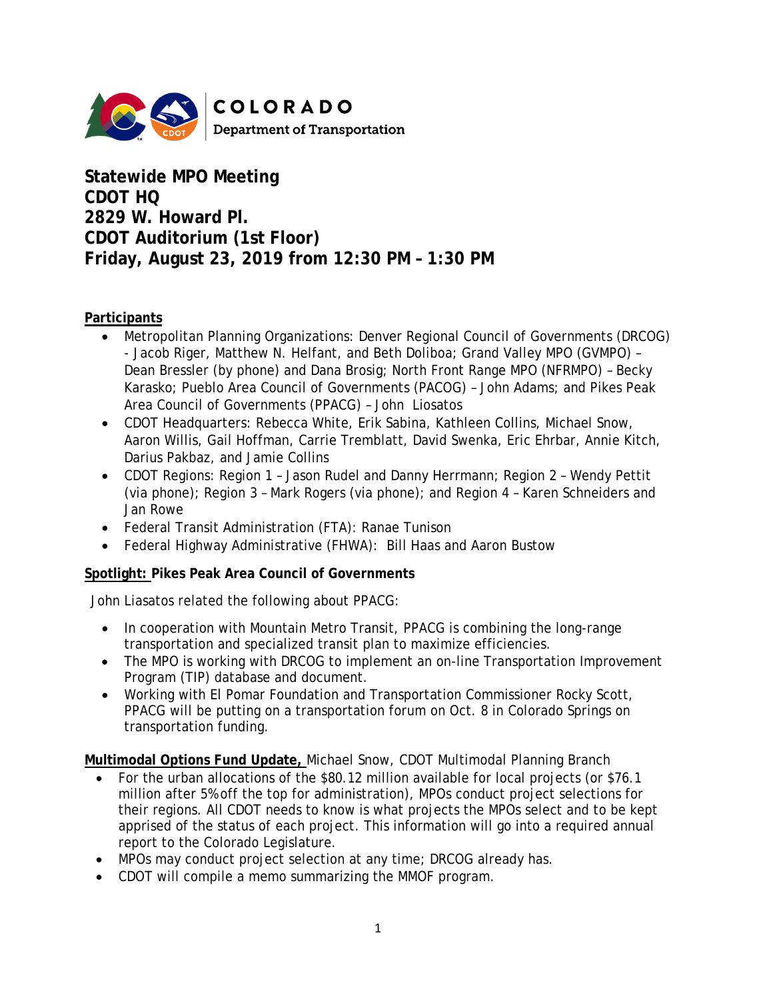

**Statewide MPO Meeting CDOT HQ 2829 W. Howard Pl. CDOT Auditorium (1st Floor) Friday, August 23, 2019 from 12:30 PM – 1:30 PM**

## **Participants**

- Metropolitan Planning Organizations: Denver Regional Council of Governments (DRCOG) - Jacob Riger, Matthew N. Helfant, and Beth Doliboa; Grand Valley MPO (GVMPO) – Dean Bressler (by phone) and Dana Brosig; North Front Range MPO (NFRMPO) – Becky Karasko; Pueblo Area Council of Governments (PACOG) – John Adams; and Pikes Peak Area Council of Governments (PPACG) – John Liosatos
- CDOT Headquarters: Rebecca White, Erik Sabina, Kathleen Collins, Michael Snow, Aaron Willis, Gail Hoffman, Carrie Tremblatt, David Swenka, Eric Ehrbar, Annie Kitch, Darius Pakbaz, and Jamie Collins
- CDOT Regions: Region 1 Jason Rudel and Danny Herrmann; Region 2 Wendy Pettit (via phone); Region 3 – Mark Rogers (via phone); and Region 4 – Karen Schneiders and Jan Rowe
- Federal Transit Administration (FTA): Ranae Tunison
- Federal Highway Administrative (FHWA): Bill Haas and Aaron Bustow

## **Spotlight: Pikes Peak Area Council of Governments**

John Liasatos related the following about PPACG:

- In cooperation with Mountain Metro Transit, PPACG is combining the long-range transportation and specialized transit plan to maximize efficiencies.
- The MPO is working with DRCOG to implement an on-line Transportation Improvement Program (TIP) database and document.
- Working with El Pomar Foundation and Transportation Commissioner Rocky Scott, PPACG will be putting on a transportation forum on Oct. 8 in Colorado Springs on transportation funding.

**Multimodal Options Fund Update,** Michael Snow, CDOT Multimodal Planning Branch

- For the urban allocations of the \$80.12 million available for local projects (or \$76.1 million after 5% off the top for administration), MPOs conduct project selections for their regions. All CDOT needs to know is what projects the MPOs select and to be kept apprised of the status of each project. This information will go into a required annual report to the Colorado Legislature.
- MPOs may conduct project selection at any time; DRCOG already has.
- CDOT will compile a memo summarizing the MMOF program.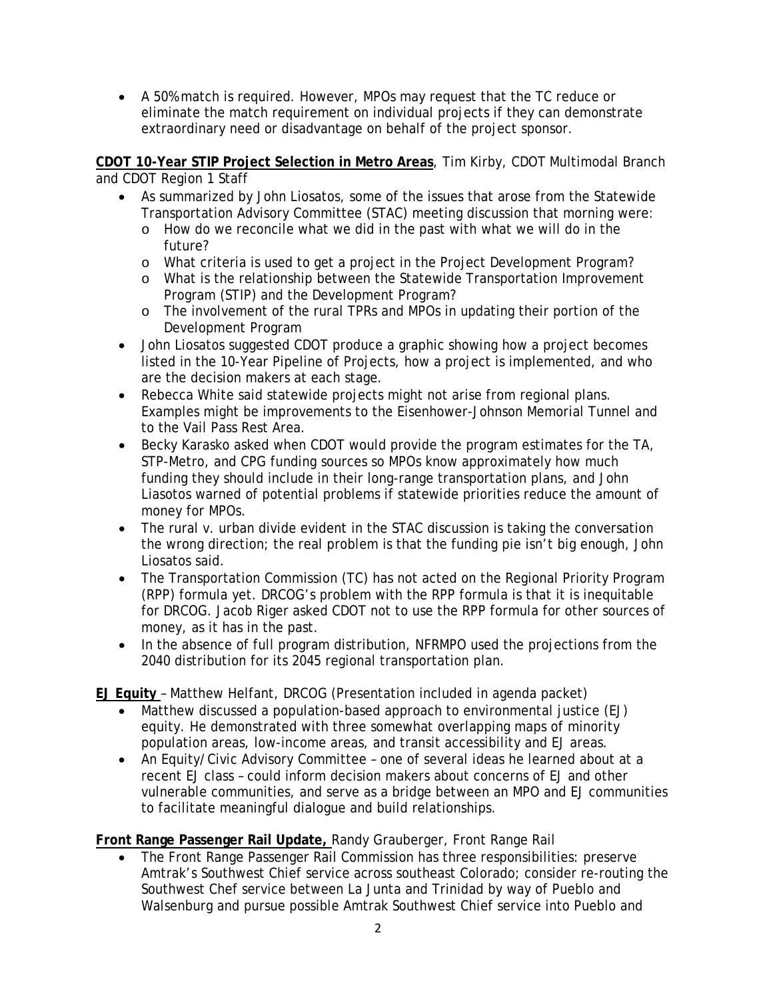• A 50% match is required. However, MPOs may request that the TC reduce or eliminate the match requirement on individual projects if they can demonstrate extraordinary need or disadvantage on behalf of the project sponsor.

**CDOT 10-Year STIP Project Selection in Metro Areas**, Tim Kirby, CDOT Multimodal Branch and CDOT Region 1 Staff

- As summarized by John Liosatos, some of the issues that arose from the Statewide Transportation Advisory Committee (STAC) meeting discussion that morning were:
	- o How do we reconcile what we did in the past with what we will do in the future?
	- o What criteria is used to get a project in the Project Development Program?
	- o What is the relationship between the Statewide Transportation Improvement Program (STIP) and the Development Program?
	- o The involvement of the rural TPRs and MPOs in updating their portion of the Development Program
- John Liosatos suggested CDOT produce a graphic showing how a project becomes listed in the 10-Year Pipeline of Projects, how a project is implemented, and who are the decision makers at each stage.
- Rebecca White said statewide projects might not arise from regional plans. Examples might be improvements to the Eisenhower-Johnson Memorial Tunnel and to the Vail Pass Rest Area.
- Becky Karasko asked when CDOT would provide the program estimates for the TA, STP-Metro, and CPG funding sources so MPOs know approximately how much funding they should include in their long-range transportation plans, and John Liasotos warned of potential problems if statewide priorities reduce the amount of money for MPOs.
- The rural v. urban divide evident in the STAC discussion is taking the conversation the wrong direction; the real problem is that the funding pie isn't big enough, John Liosatos said.
- The Transportation Commission (TC) has not acted on the Regional Priority Program (RPP) formula yet. DRCOG's problem with the RPP formula is that it is inequitable for DRCOG. Jacob Riger asked CDOT not to use the RPP formula for other sources of money, as it has in the past.
- In the absence of full program distribution, NFRMPO used the projections from the 2040 distribution for its 2045 regional transportation plan.

**EJ Equity** – Matthew Helfant, DRCOG (Presentation included in agenda packet)

- Matthew discussed a population-based approach to environmental justice (EJ) equity. He demonstrated with three somewhat overlapping maps of minority population areas, low-income areas, and transit accessibility and EJ areas.
- An Equity/Civic Advisory Committee one of several ideas he learned about at a recent EJ class – could inform decision makers about concerns of EJ and other vulnerable communities, and serve as a bridge between an MPO and EJ communities to facilitate meaningful dialogue and build relationships.

**Front Range Passenger Rail Update,** Randy Grauberger, Front Range Rail

• The Front Range Passenger Rail Commission has three responsibilities: preserve Amtrak's Southwest Chief service across southeast Colorado; consider re-routing the Southwest Chef service between La Junta and Trinidad by way of Pueblo and Walsenburg and pursue possible Amtrak Southwest Chief service into Pueblo and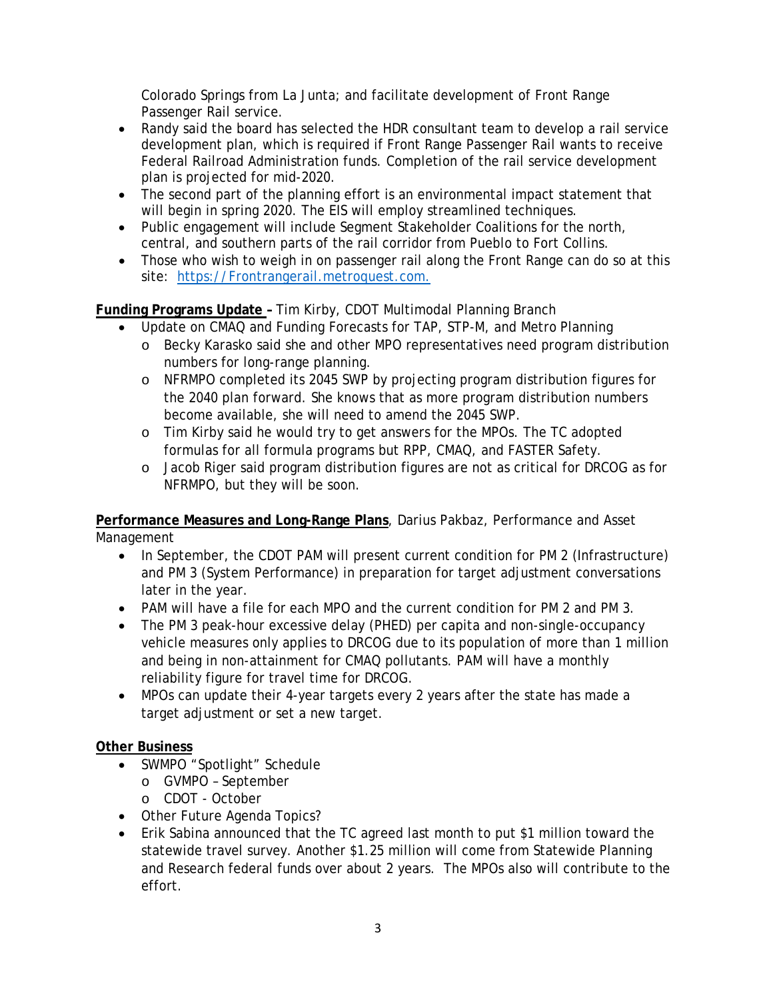Colorado Springs from La Junta; and facilitate development of Front Range Passenger Rail service.

- Randy said the board has selected the HDR consultant team to develop a rail service development plan, which is required if Front Range Passenger Rail wants to receive Federal Railroad Administration funds. Completion of the rail service development plan is projected for mid-2020.
- The second part of the planning effort is an environmental impact statement that will begin in spring 2020. The EIS will employ streamlined techniques.
- Public engagement will include Segment Stakeholder Coalitions for the north, central, and southern parts of the rail corridor from Pueblo to Fort Collins.
- Those who wish to weigh in on passenger rail along the Front Range can do so at this site: [https://Frontrangerail.metroquest.com.](https://frontrangerail.metroquest.com/)

**Funding Programs Update –** Tim Kirby, CDOT Multimodal Planning Branch

- Update on CMAQ and Funding Forecasts for TAP, STP-M, and Metro Planning
	- o Becky Karasko said she and other MPO representatives need program distribution numbers for long-range planning.
	- o NFRMPO completed its 2045 SWP by projecting program distribution figures for the 2040 plan forward. She knows that as more program distribution numbers become available, she will need to amend the 2045 SWP.
	- o Tim Kirby said he would try to get answers for the MPOs. The TC adopted formulas for all formula programs but RPP, CMAQ, and FASTER Safety.
	- o Jacob Riger said program distribution figures are not as critical for DRCOG as for NFRMPO, but they will be soon.

**Performance Measures and Long-Range Plans**, Darius Pakbaz, Performance and Asset Management

- In September, the CDOT PAM will present current condition for PM 2 (Infrastructure) and PM 3 (System Performance) in preparation for target adjustment conversations later in the year.
- PAM will have a file for each MPO and the current condition for PM 2 and PM 3.
- The PM 3 peak-hour excessive delay (PHED) per capita and non-single-occupancy vehicle measures only applies to DRCOG due to its population of more than 1 million and being in non-attainment for CMAQ pollutants. PAM will have a monthly reliability figure for travel time for DRCOG.
- MPOs can update their 4-year targets every 2 years after the state has made a target adjustment or set a new target.

## **Other Business**

- SWMPO "Spotlight" Schedule
	- o GVMPO September
	- o CDOT October
- Other Future Agenda Topics?
- Erik Sabina announced that the TC agreed last month to put \$1 million toward the statewide travel survey. Another \$1.25 million will come from Statewide Planning and Research federal funds over about 2 years. The MPOs also will contribute to the effort.